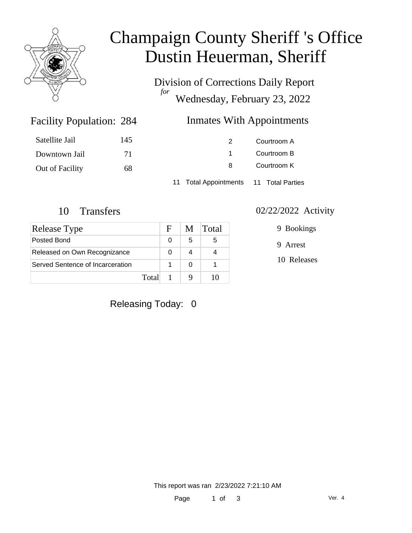

# Champaign County Sheriff 's Office Dustin Heuerman, Sheriff

Division of Corrections Daily Report *for* Wednesday, February 23, 2022

### Inmates With Appointments

| Satellite Jail  | 145 | 2.                                     | Courtroom A |  |
|-----------------|-----|----------------------------------------|-------------|--|
| Downtown Jail   | 71  |                                        | Courtroom B |  |
| Out of Facility | 68  | 8                                      | Courtroom K |  |
|                 |     | 11 Total Appointments 11 Total Parties |             |  |

Facility Population: 284

| Release Type                     |       | F. | M | Total |
|----------------------------------|-------|----|---|-------|
| Posted Bond                      |       |    | 5 | 5     |
| Released on Own Recognizance     |       |    |   |       |
| Served Sentence of Incarceration |       |    |   |       |
|                                  | Total |    |   |       |

#### 10 Transfers 02/22/2022 Activity

9 Bookings

9 Arrest

10 Releases

Releasing Today: 0

This report was ran 2/23/2022 7:21:10 AM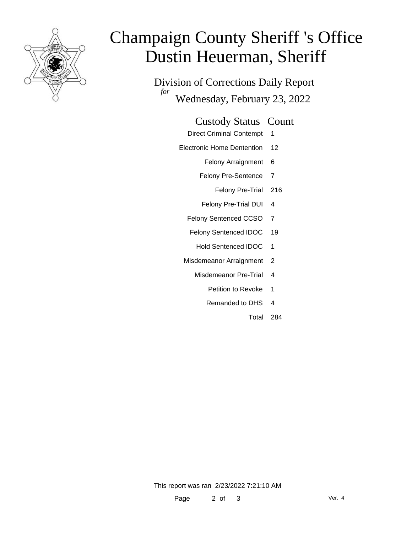

# Champaign County Sheriff 's Office Dustin Heuerman, Sheriff

Division of Corrections Daily Report *for* Wednesday, February 23, 2022

#### Custody Status Count

- Direct Criminal Contempt 1
- Electronic Home Dentention 12
	- Felony Arraignment 6
	- Felony Pre-Sentence 7
		- Felony Pre-Trial 216
	- Felony Pre-Trial DUI 4
	- Felony Sentenced CCSO 7
	- Felony Sentenced IDOC 19
		- Hold Sentenced IDOC 1
	- Misdemeanor Arraignment 2
		- Misdemeanor Pre-Trial 4
			- Petition to Revoke 1
			- Remanded to DHS 4
				- Total 284

This report was ran 2/23/2022 7:21:10 AM